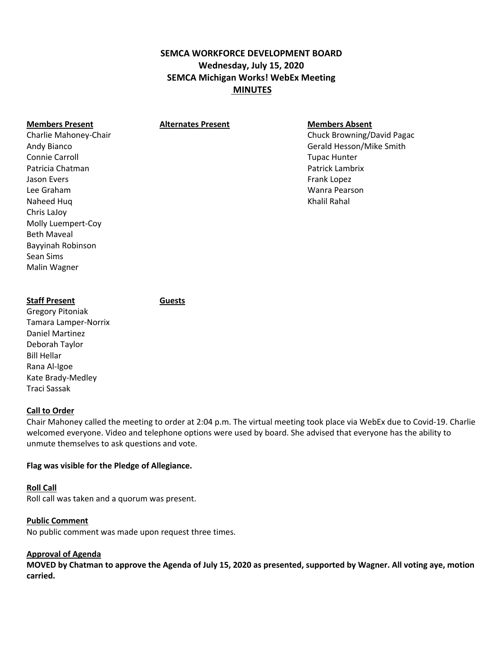# **SEMCA WORKFORCE DEVELOPMENT BOARD Wednesday, July 15, 2020 SEMCA Michigan Works! WebEx Meeting MINUTES**

## **Members Present Alternates Present Members Absent**

Connie Carroll **Tupac Hunter** Connie Carroll **Tupac Hunter** Connie Carroll **Tupac Hunter** Patricia Chatman Patrick Lambrix Jason Evers Frank Lopez (1999) and the set of the set of the set of the set of the set of the set of the set of the set of the set of the set of the set of the set of the set of the set of the set of the set of the set of Lee Graham Wanra Pearson Naheed Huq Khalil Rahal Khalil Rahal Khalil Rahal Khalil Rahal Khalil Rahal Khalil Rahal Khalil Rahal Khalil Rahal Khalil Rahal Khalil Rahal Khalil Rahal Khalil Rahal Khalil Rahal Khalil Rahal Khalil Rahal Khalil Rahal Kha Chris LaJoy Molly Luempert-Coy Beth Maveal Bayyinah Robinson Sean Sims Malin Wagner

Charlie Mahoney-Chair Chuck Browning/David Pagac Andy Bianco **Andy Bianco** Gerald Hesson/Mike Smith

## **Staff Present Guests**

Gregory Pitoniak Tamara Lamper-Norrix Daniel Martinez Deborah Taylor Bill Hellar Rana Al-Igoe Kate Brady-Medley Traci Sassak

#### **Call to Order**

Chair Mahoney called the meeting to order at 2:04 p.m. The virtual meeting took place via WebEx due to Covid-19. Charlie welcomed everyone. Video and telephone options were used by board. She advised that everyone has the ability to unmute themselves to ask questions and vote.

## **Flag was visible for the Pledge of Allegiance.**

#### **Roll Call**

Roll call was taken and a quorum was present.

## **Public Comment**

No public comment was made upon request three times.

## **Approval of Agenda**

**MOVED by Chatman to approve the Agenda of July 15, 2020 as presented, supported by Wagner. All voting aye, motion carried.**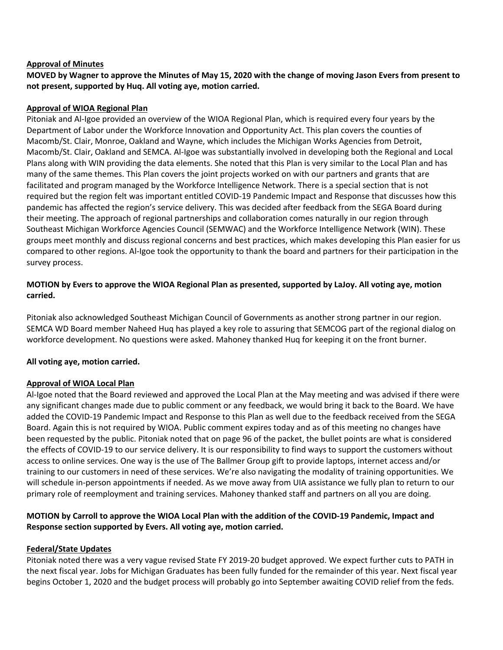## **Approval of Minutes**

**MOVED by Wagner to approve the Minutes of May 15, 2020 with the change of moving Jason Evers from present to not present, supported by Huq. All voting aye, motion carried.**

## **Approval of WIOA Regional Plan**

Pitoniak and Al-Igoe provided an overview of the WIOA Regional Plan, which is required every four years by the Department of Labor under the Workforce Innovation and Opportunity Act. This plan covers the counties of Macomb/St. Clair, Monroe, Oakland and Wayne, which includes the Michigan Works Agencies from Detroit, Macomb/St. Clair, Oakland and SEMCA. Al-Igoe was substantially involved in developing both the Regional and Local Plans along with WIN providing the data elements. She noted that this Plan is very similar to the Local Plan and has many of the same themes. This Plan covers the joint projects worked on with our partners and grants that are facilitated and program managed by the Workforce Intelligence Network. There is a special section that is not required but the region felt was important entitled COVID-19 Pandemic Impact and Response that discusses how this pandemic has affected the region's service delivery. This was decided after feedback from the SEGA Board during their meeting. The approach of regional partnerships and collaboration comes naturally in our region through Southeast Michigan Workforce Agencies Council (SEMWAC) and the Workforce Intelligence Network (WIN). These groups meet monthly and discuss regional concerns and best practices, which makes developing this Plan easier for us compared to other regions. Al-Igoe took the opportunity to thank the board and partners for their participation in the survey process.

## **MOTION by Evers to approve the WIOA Regional Plan as presented, supported by LaJoy. All voting aye, motion carried.**

Pitoniak also acknowledged Southeast Michigan Council of Governments as another strong partner in our region. SEMCA WD Board member Naheed Huq has played a key role to assuring that SEMCOG part of the regional dialog on workforce development. No questions were asked. Mahoney thanked Huq for keeping it on the front burner.

## **All voting aye, motion carried.**

## **Approval of WIOA Local Plan**

Al-Igoe noted that the Board reviewed and approved the Local Plan at the May meeting and was advised if there were any significant changes made due to public comment or any feedback, we would bring it back to the Board. We have added the COVID-19 Pandemic Impact and Response to this Plan as well due to the feedback received from the SEGA Board. Again this is not required by WIOA. Public comment expires today and as of this meeting no changes have been requested by the public. Pitoniak noted that on page 96 of the packet, the bullet points are what is considered the effects of COVID-19 to our service delivery. It is our responsibility to find ways to support the customers without access to online services. One way is the use of The Ballmer Group gift to provide laptops, internet access and/or training to our customers in need of these services. We're also navigating the modality of training opportunities. We will schedule in-person appointments if needed. As we move away from UIA assistance we fully plan to return to our primary role of reemployment and training services. Mahoney thanked staff and partners on all you are doing.

## **MOTION by Carroll to approve the WIOA Local Plan with the addition of the COVID-19 Pandemic, Impact and Response section supported by Evers. All voting aye, motion carried.**

## **Federal/State Updates**

Pitoniak noted there was a very vague revised State FY 2019-20 budget approved. We expect further cuts to PATH in the next fiscal year. Jobs for Michigan Graduates has been fully funded for the remainder of this year. Next fiscal year begins October 1, 2020 and the budget process will probably go into September awaiting COVID relief from the feds.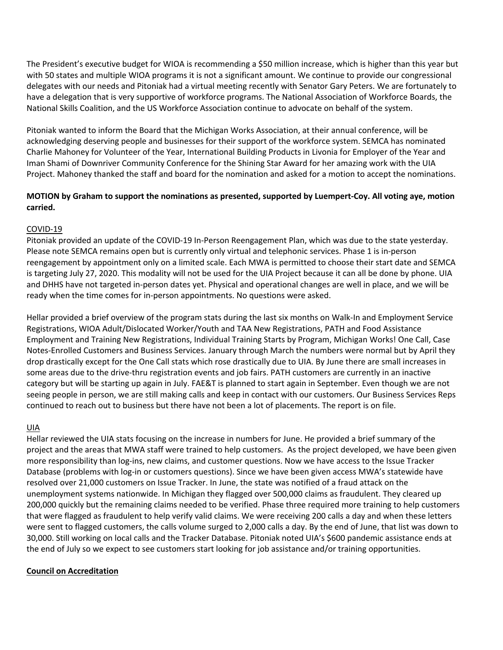The President's executive budget for WIOA is recommending a \$50 million increase, which is higher than this year but with 50 states and multiple WIOA programs it is not a significant amount. We continue to provide our congressional delegates with our needs and Pitoniak had a virtual meeting recently with Senator Gary Peters. We are fortunately to have a delegation that is very supportive of workforce programs. The National Association of Workforce Boards, the National Skills Coalition, and the US Workforce Association continue to advocate on behalf of the system.

Pitoniak wanted to inform the Board that the Michigan Works Association, at their annual conference, will be acknowledging deserving people and businesses for their support of the workforce system. SEMCA has nominated Charlie Mahoney for Volunteer of the Year, International Building Products in Livonia for Employer of the Year and Iman Shami of Downriver Community Conference for the Shining Star Award for her amazing work with the UIA Project. Mahoney thanked the staff and board for the nomination and asked for a motion to accept the nominations.

## **MOTION by Graham to support the nominations as presented, supported by Luempert-Coy. All voting aye, motion carried.**

## COVID-19

Pitoniak provided an update of the COVID-19 In-Person Reengagement Plan, which was due to the state yesterday. Please note SEMCA remains open but is currently only virtual and telephonic services. Phase 1 is in-person reengagement by appointment only on a limited scale. Each MWA is permitted to choose their start date and SEMCA is targeting July 27, 2020. This modality will not be used for the UIA Project because it can all be done by phone. UIA and DHHS have not targeted in-person dates yet. Physical and operational changes are well in place, and we will be ready when the time comes for in-person appointments. No questions were asked.

Hellar provided a brief overview of the program stats during the last six months on Walk-In and Employment Service Registrations, WIOA Adult/Dislocated Worker/Youth and TAA New Registrations, PATH and Food Assistance Employment and Training New Registrations, Individual Training Starts by Program, Michigan Works! One Call, Case Notes-Enrolled Customers and Business Services. January through March the numbers were normal but by April they drop drastically except for the One Call stats which rose drastically due to UIA. By June there are small increases in some areas due to the drive-thru registration events and job fairs. PATH customers are currently in an inactive category but will be starting up again in July. FAE&T is planned to start again in September. Even though we are not seeing people in person, we are still making calls and keep in contact with our customers. Our Business Services Reps continued to reach out to business but there have not been a lot of placements. The report is on file.

## UIA

Hellar reviewed the UIA stats focusing on the increase in numbers for June. He provided a brief summary of the project and the areas that MWA staff were trained to help customers. As the project developed, we have been given more responsibility than log-ins, new claims, and customer questions. Now we have access to the Issue Tracker Database (problems with log-in or customers questions). Since we have been given access MWA's statewide have resolved over 21,000 customers on Issue Tracker. In June, the state was notified of a fraud attack on the unemployment systems nationwide. In Michigan they flagged over 500,000 claims as fraudulent. They cleared up 200,000 quickly but the remaining claims needed to be verified. Phase three required more training to help customers that were flagged as fraudulent to help verify valid claims. We were receiving 200 calls a day and when these letters were sent to flagged customers, the calls volume surged to 2,000 calls a day. By the end of June, that list was down to 30,000. Still working on local calls and the Tracker Database. Pitoniak noted UIA's \$600 pandemic assistance ends at the end of July so we expect to see customers start looking for job assistance and/or training opportunities.

## **Council on Accreditation**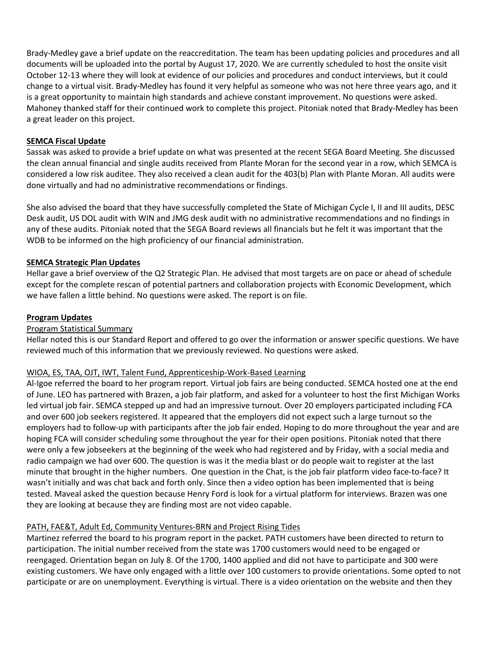Brady-Medley gave a brief update on the reaccreditation. The team has been updating policies and procedures and all documents will be uploaded into the portal by August 17, 2020. We are currently scheduled to host the onsite visit October 12-13 where they will look at evidence of our policies and procedures and conduct interviews, but it could change to a virtual visit. Brady-Medley has found it very helpful as someone who was not here three years ago, and it is a great opportunity to maintain high standards and achieve constant improvement. No questions were asked. Mahoney thanked staff for their continued work to complete this project. Pitoniak noted that Brady-Medley has been a great leader on this project.

## **SEMCA Fiscal Update**

Sassak was asked to provide a brief update on what was presented at the recent SEGA Board Meeting. She discussed the clean annual financial and single audits received from Plante Moran for the second year in a row, which SEMCA is considered a low risk auditee. They also received a clean audit for the 403(b) Plan with Plante Moran. All audits were done virtually and had no administrative recommendations or findings.

She also advised the board that they have successfully completed the State of Michigan Cycle I, II and III audits, DESC Desk audit, US DOL audit with WIN and JMG desk audit with no administrative recommendations and no findings in any of these audits. Pitoniak noted that the SEGA Board reviews all financials but he felt it was important that the WDB to be informed on the high proficiency of our financial administration.

## **SEMCA Strategic Plan Updates**

Hellar gave a brief overview of the Q2 Strategic Plan. He advised that most targets are on pace or ahead of schedule except for the complete rescan of potential partners and collaboration projects with Economic Development, which we have fallen a little behind. No questions were asked. The report is on file.

## **Program Updates**

## Program Statistical Summary

Hellar noted this is our Standard Report and offered to go over the information or answer specific questions. We have reviewed much of this information that we previously reviewed. No questions were asked.

## WIOA, ES, TAA, OJT, IWT, Talent Fund, Apprenticeship-Work-Based Learning

Al-Igoe referred the board to her program report. Virtual job fairs are being conducted. SEMCA hosted one at the end of June. LEO has partnered with Brazen, a job fair platform, and asked for a volunteer to host the first Michigan Works led virtual job fair. SEMCA stepped up and had an impressive turnout. Over 20 employers participated including FCA and over 600 job seekers registered. It appeared that the employers did not expect such a large turnout so the employers had to follow-up with participants after the job fair ended. Hoping to do more throughout the year and are hoping FCA will consider scheduling some throughout the year for their open positions. Pitoniak noted that there were only a few jobseekers at the beginning of the week who had registered and by Friday, with a social media and radio campaign we had over 600. The question is was it the media blast or do people wait to register at the last minute that brought in the higher numbers. One question in the Chat, is the job fair platform video face-to-face? It wasn't initially and was chat back and forth only. Since then a video option has been implemented that is being tested. Maveal asked the question because Henry Ford is look for a virtual platform for interviews. Brazen was one they are looking at because they are finding most are not video capable.

## PATH, FAE&T, Adult Ed, Community Ventures-BRN and Project Rising Tides

Martinez referred the board to his program report in the packet. PATH customers have been directed to return to participation. The initial number received from the state was 1700 customers would need to be engaged or reengaged. Orientation began on July 8. Of the 1700, 1400 applied and did not have to participate and 300 were existing customers. We have only engaged with a little over 100 customers to provide orientations. Some opted to not participate or are on unemployment. Everything is virtual. There is a video orientation on the website and then they